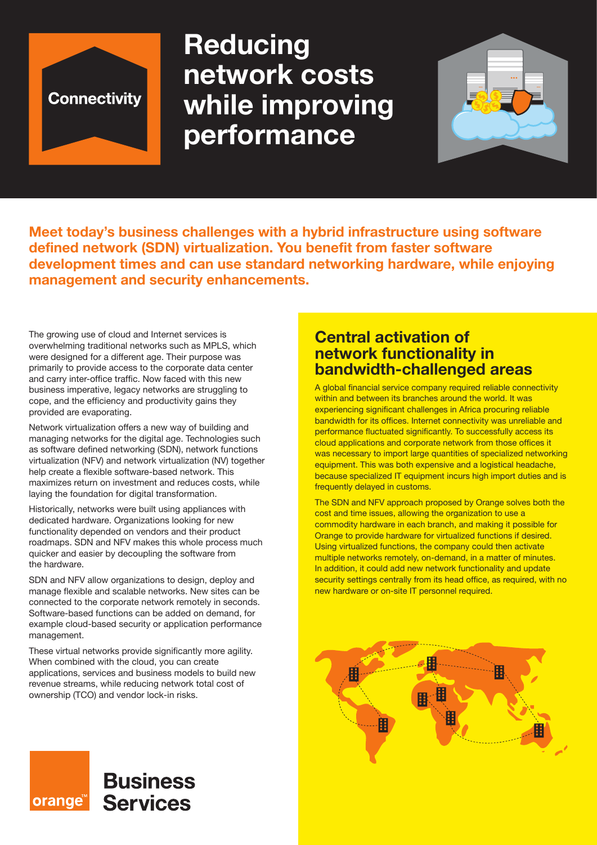

# **Reducing network costs while improving performance**



**Meet today's business challenges with a hybrid infrastructure using software defined network (SDN) virtualization. You benefit from faster software development times and can use standard networking hardware, while enjoying management and security enhancements.**

The growing use of cloud and Internet services is overwhelming traditional networks such as MPLS, which were designed for a different age. Their purpose was primarily to provide access to the corporate data center and carry inter-office traffic. Now faced with this new business imperative, legacy networks are struggling to cope, and the efficiency and productivity gains they provided are evaporating.

Network virtualization offers a new way of building and managing networks for the digital age. Technologies such as software defined networking (SDN), network functions virtualization (NFV) and network virtualization (NV) together help create a flexible software-based network. This maximizes return on investment and reduces costs, while laying the foundation for digital transformation.

Historically, networks were built using appliances with dedicated hardware. Organizations looking for new functionality depended on vendors and their product roadmaps. SDN and NFV makes this whole process much quicker and easier by decoupling the software from the hardware.

SDN and NFV allow organizations to design, deploy and manage flexible and scalable networks. New sites can be connected to the corporate network remotely in seconds. Software-based functions can be added on demand, for example cloud-based security or application performance management.

These virtual networks provide significantly more agility. When combined with the cloud, you can create applications, services and business models to build new revenue streams, while reducing network total cost of ownership (TCO) and vendor lock-in risks.

**Business** 

**Services** 

orange

# **Central activation of network functionality in bandwidth-challenged areas**

A global financial service company required reliable connectivity within and between its branches around the world. It was experiencing significant challenges in Africa procuring reliable bandwidth for its offices. Internet connectivity was unreliable and performance fluctuated significantly. To successfully access its cloud applications and corporate network from those offices it was necessary to import large quantities of specialized networking equipment. This was both expensive and a logistical headache, because specialized IT equipment incurs high import duties and is frequently delayed in customs.

The SDN and NFV approach proposed by Orange solves both the cost and time issues, allowing the organization to use a commodity hardware in each branch, and making it possible for Orange to provide hardware for virtualized functions if desired. Using virtualized functions, the company could then activate multiple networks remotely, on-demand, in a matter of minutes. In addition, it could add new network functionality and update security settings centrally from its head office, as required, with no new hardware or on-site IT personnel required.